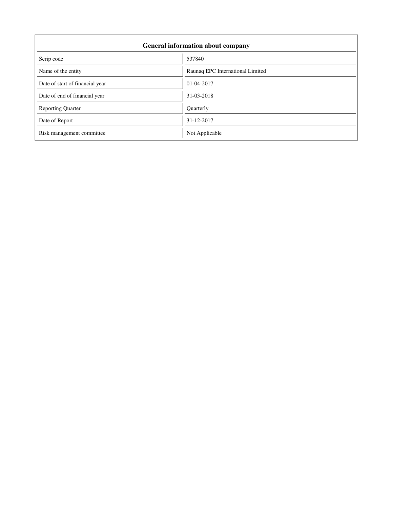| <b>General information about company</b> |                                  |  |  |
|------------------------------------------|----------------------------------|--|--|
| Scrip code                               | 537840                           |  |  |
| Name of the entity                       | Raunaq EPC International Limited |  |  |
| Date of start of financial year          | 01-04-2017                       |  |  |
| Date of end of financial year            | 31-03-2018                       |  |  |
| <b>Reporting Quarter</b>                 | Quarterly                        |  |  |
| Date of Report                           | 31-12-2017                       |  |  |
| Risk management committee                | Not Applicable                   |  |  |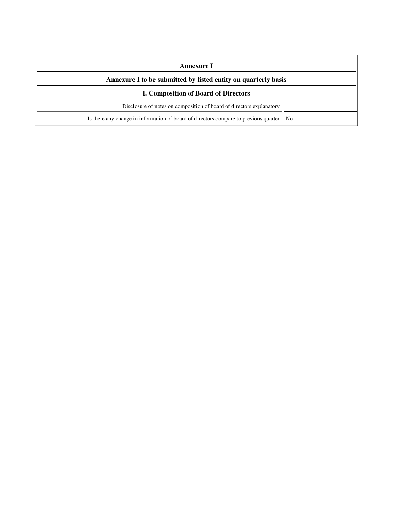| Annexure I<br>Annexure I to be submitted by listed entity on quarterly basis |                                                                                           |
|------------------------------------------------------------------------------|-------------------------------------------------------------------------------------------|
|                                                                              |                                                                                           |
|                                                                              | Disclosure of notes on composition of board of directors explanatory                      |
|                                                                              | Is there any change in information of board of directors compare to previous quarter   No |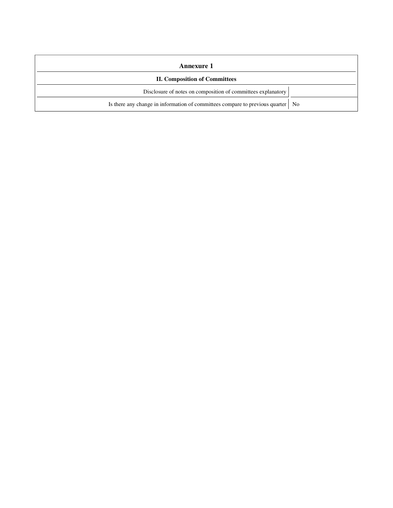| Annexure 1                                                                        |  |  |
|-----------------------------------------------------------------------------------|--|--|
| <b>II. Composition of Committees</b>                                              |  |  |
| Disclosure of notes on composition of committees explanatory                      |  |  |
| Is there any change in information of committees compare to previous quarter   No |  |  |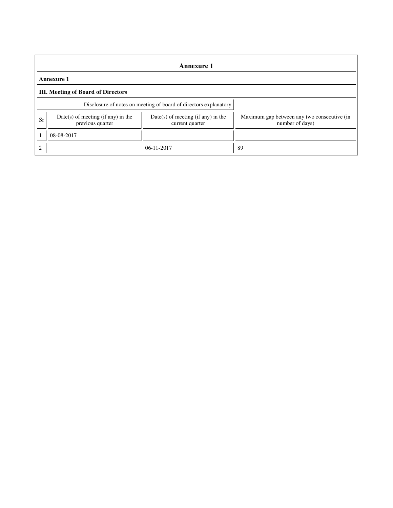| Annexure 1                  |                                                                  |                                                         |                                                                |  |  |
|-----------------------------|------------------------------------------------------------------|---------------------------------------------------------|----------------------------------------------------------------|--|--|
| <b>Annexure 1</b>           |                                                                  |                                                         |                                                                |  |  |
|                             | <b>III.</b> Meeting of Board of Directors                        |                                                         |                                                                |  |  |
|                             | Disclosure of notes on meeting of board of directors explanatory |                                                         |                                                                |  |  |
| Sr                          | $Date(s)$ of meeting (if any) in the<br>previous quarter         | $Date(s)$ of meeting (if any) in the<br>current quarter | Maximum gap between any two consecutive (in<br>number of days) |  |  |
|                             | 08-08-2017                                                       |                                                         |                                                                |  |  |
| $\mathcal{D}_{\mathcal{L}}$ |                                                                  | $06-11-2017$                                            | 89                                                             |  |  |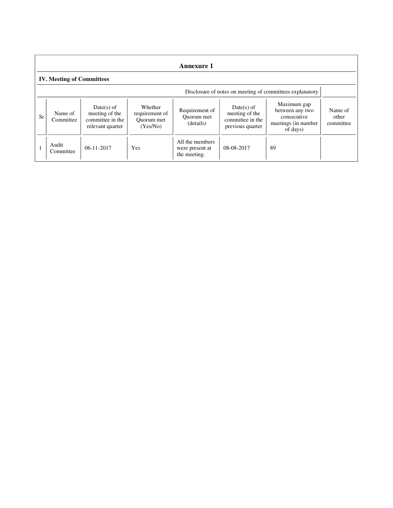| <b>Annexure 1</b> |                                                          |                                                                        |                                                     |                                                    |                                                                        |                                                                                  |                               |
|-------------------|----------------------------------------------------------|------------------------------------------------------------------------|-----------------------------------------------------|----------------------------------------------------|------------------------------------------------------------------------|----------------------------------------------------------------------------------|-------------------------------|
|                   | <b>IV. Meeting of Committees</b>                         |                                                                        |                                                     |                                                    |                                                                        |                                                                                  |                               |
|                   | Disclosure of notes on meeting of committees explanatory |                                                                        |                                                     |                                                    |                                                                        |                                                                                  |                               |
| Sr                | Name of<br>Committee                                     | $Date(s)$ of<br>meeting of the<br>committee in the<br>relevant quarter | Whether<br>requirement of<br>Ouorum met<br>(Yes/No) | Requirement of<br>Ouorum met<br>(details)          | $Date(s)$ of<br>meeting of the<br>committee in the<br>previous quarter | Maximum gap<br>between any two<br>consecutive<br>meetings (in number<br>of days) | Name of<br>other<br>committee |
|                   | Audit<br>Committee                                       | $06-11-2017$                                                           | Yes                                                 | All the members<br>were present at<br>the meeting. | 08-08-2017                                                             | 89                                                                               |                               |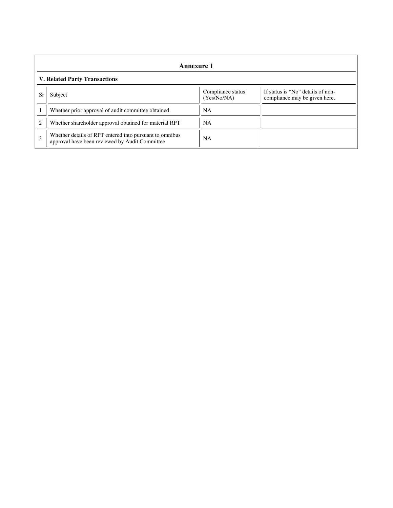| Annexure 1                           |                                                                                                           |                                  |                                                                    |  |
|--------------------------------------|-----------------------------------------------------------------------------------------------------------|----------------------------------|--------------------------------------------------------------------|--|
| <b>V. Related Party Transactions</b> |                                                                                                           |                                  |                                                                    |  |
| Sr                                   | Subject                                                                                                   | Compliance status<br>(Yes/No/NA) | If status is "No" details of non-<br>compliance may be given here. |  |
|                                      | Whether prior approval of audit committee obtained                                                        | <b>NA</b>                        |                                                                    |  |
| $\overline{c}$                       | Whether shareholder approval obtained for material RPT                                                    | NA                               |                                                                    |  |
| 3                                    | Whether details of RPT entered into pursuant to omnibus<br>approval have been reviewed by Audit Committee | <b>NA</b>                        |                                                                    |  |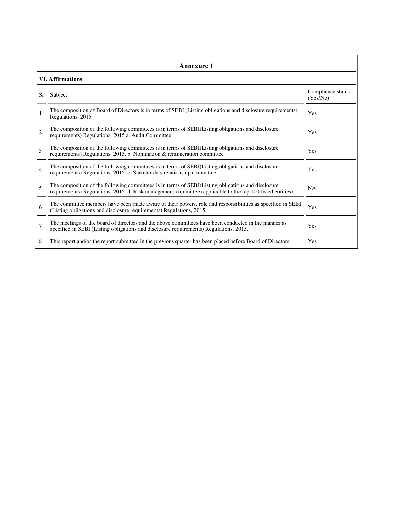| Annexure 1     |                                                                                                                                                                                                                 |                               |  |  |  |
|----------------|-----------------------------------------------------------------------------------------------------------------------------------------------------------------------------------------------------------------|-------------------------------|--|--|--|
|                | <b>VI.</b> Affirmations                                                                                                                                                                                         |                               |  |  |  |
| Sr             | Subject                                                                                                                                                                                                         | Compliance status<br>(Yes/No) |  |  |  |
|                | The composition of Board of Directors is in terms of SEBI (Listing obligations and disclosure requirements)<br>Regulations, 2015                                                                                | Yes                           |  |  |  |
| $\overline{2}$ | The composition of the following committees is in terms of SEBI(Listing obligations and disclosure<br>requirements) Regulations, 2015 a. Audit Committee                                                        | Yes                           |  |  |  |
| 3              | The composition of the following committees is in terms of SEBI(Listing obligations and disclosure<br>requirements) Regulations, 2015. b. Nomination & remuneration committee                                   | Yes                           |  |  |  |
| 4              | The composition of the following committees is in terms of SEBI(Listing obligations and disclosure<br>requirements) Regulations, 2015. c. Stakeholders relationship committee                                   | Yes                           |  |  |  |
| 5              | The composition of the following committees is in terms of SEBI(Listing obligations and disclosure<br>requirements) Regulations, 2015. d. Risk management committee (applicable to the top 100 listed entities) | <b>NA</b>                     |  |  |  |
| 6              | The committee members have been made aware of their powers, role and responsibilities as specified in SEBI<br>(Listing obligations and disclosure requirements) Regulations, 2015.                              | Yes                           |  |  |  |
| $\overline{7}$ | The meetings of the board of directors and the above committees have been conducted in the manner as<br>specified in SEBI (Listing obligations and disclosure requirements) Regulations, 2015.                  | Yes                           |  |  |  |
| 8              | This report and/or the report submitted in the previous quarter has been placed before Board of Directors.                                                                                                      | Yes                           |  |  |  |